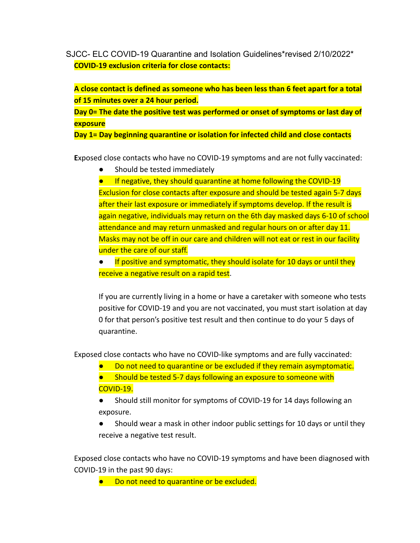SJCC- ELC COVID-19 Quarantine and Isolation Guidelines\*revised 2/10/2022\* **COVID-19 exclusion criteria for close contacts:**

**A close contact is defined as someone who has been less than 6 feet apart for a total of 15 minutes over a 24 hour period.**

**Day 0= The date the positive test was performed or onset of symptoms or last day of exposure**

**Day 1= Day beginning quarantine or isolation for infected child and close contacts**

**E**xposed close contacts who have no COVID-19 symptoms and are not fully vaccinated:

Should be tested immediately

● If negative, they should quarantine at home following the COVID-19 Exclusion for close contacts after exposure and should be tested again 5-7 days after their last exposure or immediately if symptoms develop. If the result is again negative, individuals may return on the 6th day masked days 6-10 of school attendance and may return unmasked and regular hours on or after day 11. Masks may not be off in our care and children will not eat or rest in our facility under the care of our staff.

If positive and symptomatic, they should isolate for 10 days or until they receive a negative result on a rapid test.

If you are currently living in a home or have a caretaker with someone who tests positive for COVID-19 and you are not vaccinated, you must start isolation at day 0 for that person's positive test result and then continue to do your 5 days of quarantine.

Exposed close contacts who have no COVID-like symptoms and are fully vaccinated:

- Do not need to quarantine or be excluded if they remain asymptomatic.
- Should be tested 5-7 days following an exposure to someone with COVID-19.

● Should still monitor for symptoms of COVID-19 for 14 days following an exposure.

Should wear a mask in other indoor public settings for 10 days or until they receive a negative test result.

Exposed close contacts who have no COVID-19 symptoms and have been diagnosed with COVID-19 in the past 90 days:

● Do not need to quarantine or be excluded.